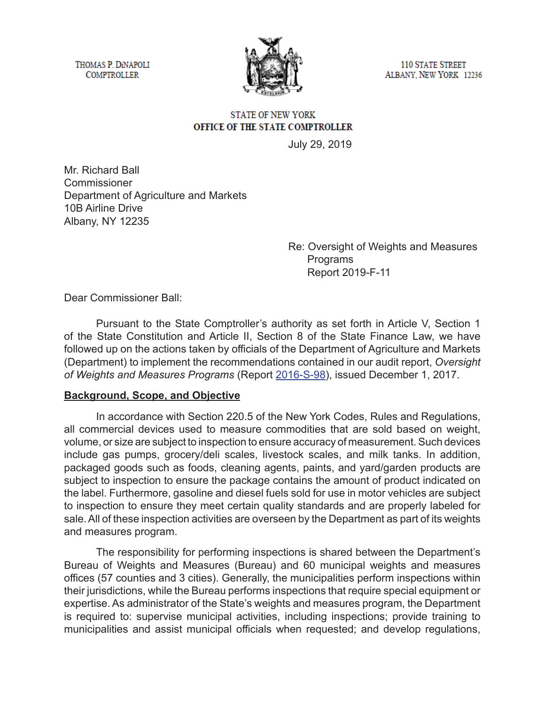THOMAS P. DINAPOLI **COMPTROLLER** 



**110 STATE STREET** ALBANY, NEW YORK 12236

### **STATE OF NEW YORK** OFFICE OF THE STATE COMPTROLLER

July 29, 2019

Mr. Richard Ball **Commissioner** Department of Agriculture and Markets 10B Airline Drive Albany, NY 12235

> Re: Oversight of Weights and Measures Programs Report 2019-F-11

Dear Commissioner Ball:

Pursuant to the State Comptroller's authority as set forth in Article V, Section 1 of the State Constitution and Article II, Section 8 of the State Finance Law, we have followed up on the actions taken by officials of the Department of Agriculture and Markets (Department) to implement the recommendations contained in our audit report, *Oversight of Weights and Measures Programs* (Report [2016-S-98\)](https://www.osc.state.ny.us/audits/allaudits/093018/16s98.htm), issued December 1, 2017.

### **Background, Scope, and Objective**

In accordance with Section 220.5 of the New York Codes, Rules and Regulations, all commercial devices used to measure commodities that are sold based on weight, volume, or size are subject to inspection to ensure accuracy of measurement. Such devices include gas pumps, grocery/deli scales, livestock scales, and milk tanks. In addition, packaged goods such as foods, cleaning agents, paints, and yard/garden products are subject to inspection to ensure the package contains the amount of product indicated on the label. Furthermore, gasoline and diesel fuels sold for use in motor vehicles are subject to inspection to ensure they meet certain quality standards and are properly labeled for sale. All of these inspection activities are overseen by the Department as part of its weights and measures program.

The responsibility for performing inspections is shared between the Department's Bureau of Weights and Measures (Bureau) and 60 municipal weights and measures offices (57 counties and 3 cities). Generally, the municipalities perform inspections within their jurisdictions, while the Bureau performs inspections that require special equipment or expertise. As administrator of the State's weights and measures program, the Department is required to: supervise municipal activities, including inspections; provide training to municipalities and assist municipal officials when requested; and develop regulations,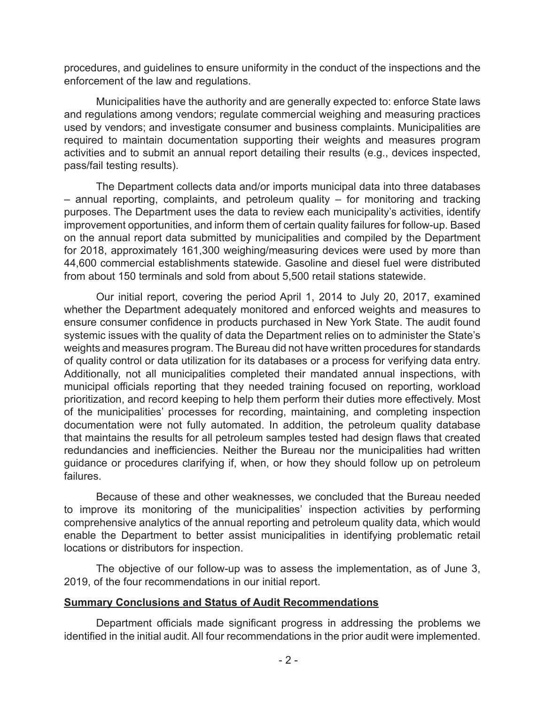procedures, and guidelines to ensure uniformity in the conduct of the inspections and the enforcement of the law and regulations.

Municipalities have the authority and are generally expected to: enforce State laws and regulations among vendors; regulate commercial weighing and measuring practices used by vendors; and investigate consumer and business complaints. Municipalities are required to maintain documentation supporting their weights and measures program activities and to submit an annual report detailing their results (e.g., devices inspected, pass/fail testing results).

The Department collects data and/or imports municipal data into three databases – annual reporting, complaints, and petroleum quality – for monitoring and tracking purposes. The Department uses the data to review each municipality's activities, identify improvement opportunities, and inform them of certain quality failures for follow-up. Based on the annual report data submitted by municipalities and compiled by the Department for 2018, approximately 161,300 weighing/measuring devices were used by more than 44,600 commercial establishments statewide. Gasoline and diesel fuel were distributed from about 150 terminals and sold from about 5,500 retail stations statewide.

Our initial report, covering the period April 1, 2014 to July 20, 2017, examined whether the Department adequately monitored and enforced weights and measures to ensure consumer confidence in products purchased in New York State. The audit found systemic issues with the quality of data the Department relies on to administer the State's weights and measures program. The Bureau did not have written procedures for standards of quality control or data utilization for its databases or a process for verifying data entry. Additionally, not all municipalities completed their mandated annual inspections, with municipal officials reporting that they needed training focused on reporting, workload prioritization, and record keeping to help them perform their duties more effectively. Most of the municipalities' processes for recording, maintaining, and completing inspection documentation were not fully automated. In addition, the petroleum quality database that maintains the results for all petroleum samples tested had design flaws that created redundancies and inefficiencies. Neither the Bureau nor the municipalities had written guidance or procedures clarifying if, when, or how they should follow up on petroleum failures.

Because of these and other weaknesses, we concluded that the Bureau needed to improve its monitoring of the municipalities' inspection activities by performing comprehensive analytics of the annual reporting and petroleum quality data, which would enable the Department to better assist municipalities in identifying problematic retail locations or distributors for inspection.

The objective of our follow-up was to assess the implementation, as of June 3, 2019, of the four recommendations in our initial report.

### **Summary Conclusions and Status of Audit Recommendations**

Department officials made significant progress in addressing the problems we identified in the initial audit. All four recommendations in the prior audit were implemented.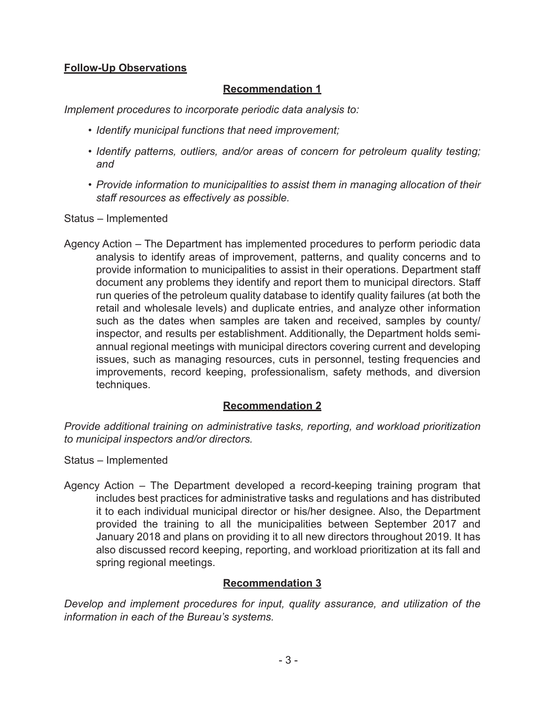# **Follow-Up Observations**

## **Recommendation 1**

*Implement procedures to incorporate periodic data analysis to:*

- *• Identify municipal functions that need improvement;*
- *• Identify patterns, outliers, and/or areas of concern for petroleum quality testing; and*
- *• Provide information to municipalities to assist them in managing allocation of their staff resources as effectively as possible.*

Status – Implemented

Agency Action – The Department has implemented procedures to perform periodic data analysis to identify areas of improvement, patterns, and quality concerns and to provide information to municipalities to assist in their operations. Department staff document any problems they identify and report them to municipal directors. Staff run queries of the petroleum quality database to identify quality failures (at both the retail and wholesale levels) and duplicate entries, and analyze other information such as the dates when samples are taken and received, samples by county/ inspector, and results per establishment. Additionally, the Department holds semiannual regional meetings with municipal directors covering current and developing issues, such as managing resources, cuts in personnel, testing frequencies and improvements, record keeping, professionalism, safety methods, and diversion techniques.

### **Recommendation 2**

*Provide additional training on administrative tasks, reporting, and workload prioritization to municipal inspectors and/or directors.*

- Status Implemented
- Agency Action The Department developed a record-keeping training program that includes best practices for administrative tasks and regulations and has distributed it to each individual municipal director or his/her designee. Also, the Department provided the training to all the municipalities between September 2017 and January 2018 and plans on providing it to all new directors throughout 2019. It has also discussed record keeping, reporting, and workload prioritization at its fall and spring regional meetings.

### **Recommendation 3**

*Develop and implement procedures for input, quality assurance, and utilization of the information in each of the Bureau's systems.*